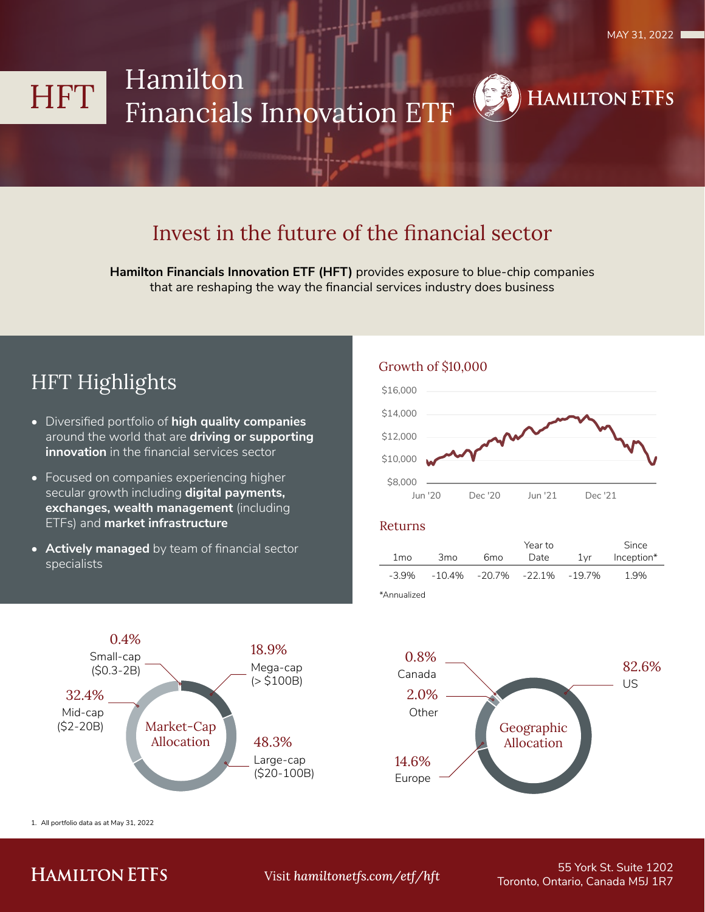**HAMILTON ETFS** 

## Hamilton HFT **Financials Innovation ETF**

## Invest in the future of the financial sector

Hamilton Financials Innovation ETF (HFT) provides exposure to blue-chip companies that are reshaping the way the financial services industry does business

## **HFT Highlights**

- Diversified portfolio of high quality companies around the world that are driving or supporting innovation in the financial services sector
- Focused on companies experiencing higher secular growth including digital payments, exchanges, wealth management (including ETFs) and market infrastructure
- Actively managed by team of financial sector specialists

## Growth of \$10,000



#### **Returns**

|             |                 | Year to |                                         |     | Since      |  |
|-------------|-----------------|---------|-----------------------------------------|-----|------------|--|
| 1 mo        | 3 <sub>mo</sub> | 6mo     | Date                                    | 1vr | Inception* |  |
| $-3.9\%$    |                 |         | $-10.4\%$ $-20.7\%$ $-22.1\%$ $-19.7\%$ |     | 1.9%       |  |
| *∆nnualized |                 |         |                                         |     |            |  |

 $0.4%$ 18.9% Small-cap Mega-cap  $(S0.3-2B)$  $(> $100B)$ 32.4% Mid-cap Market-Cap  $(S2-20B)$ Allocation 48.3% Large-cap  $($20-100B)$ 

1. All portfolio data as at May 31, 2022



## **HAMILTON ETFS**

Visit hamiltonetfs.com/etf/hft

55 York St. Suite 1202 Toronto, Ontario, Canada M5J 1R7